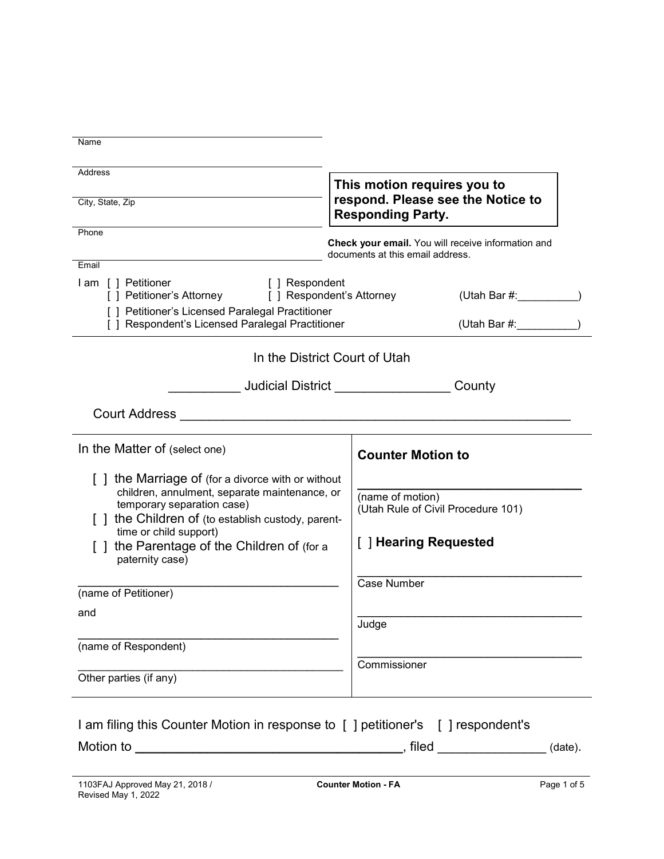| Address<br>City, State, Zip                                                                                                                                                                                  | This motion requires you to<br>respond. Please see the Notice to<br><b>Responding Party.</b> |  |
|--------------------------------------------------------------------------------------------------------------------------------------------------------------------------------------------------------------|----------------------------------------------------------------------------------------------|--|
| Phone                                                                                                                                                                                                        | Check your email. You will receive information and                                           |  |
| Email                                                                                                                                                                                                        | documents at this email address.                                                             |  |
| I am [ ] Petitioner<br>[ ] Respondent<br>[ ] Petitioner's Attorney<br>[ ] Respondent's Attorney                                                                                                              | $(U \tanh \text{Bar} #:$ (Utah Bar #:                                                        |  |
| [ ] Petitioner's Licensed Paralegal Practitioner<br>[ ] Respondent's Licensed Paralegal Practitioner                                                                                                         | (Utah Bar #:                                                                                 |  |
| In the District Court of Utah                                                                                                                                                                                |                                                                                              |  |
| <b>Supervisor Supervisor Supervisor Supervisor Supervisor Supervisor Supervisor Supervisor Supervisor Supervisor</b>                                                                                         | County                                                                                       |  |
| <b>Court Address</b>                                                                                                                                                                                         |                                                                                              |  |
| In the Matter of (select one)                                                                                                                                                                                | <b>Counter Motion to</b>                                                                     |  |
| [] the Marriage of (for a divorce with or without<br>children, annulment, separate maintenance, or<br>temporary separation case)<br>the Children of (to establish custody, parent-<br>time or child support) | (name of motion)<br>(Utah Rule of Civil Procedure 101)                                       |  |
| [] the Parentage of the Children of (for a<br>paternity case)                                                                                                                                                |                                                                                              |  |
| (name of Petitioner)                                                                                                                                                                                         | <b>Case Number</b>                                                                           |  |
| and                                                                                                                                                                                                          | Judge                                                                                        |  |
| (name of Respondent)                                                                                                                                                                                         |                                                                                              |  |
| Other parties (if any)                                                                                                                                                                                       | Commissioner                                                                                 |  |
| I am filing this Counter Motion in response to [ ] petitioner's [ ] respondent's                                                                                                                             |                                                                                              |  |
| Motion to<br><u> 1980 - Johann John Stein, marwolaeth a bhannaich an t-Amhair an t-Amhair an t-Amhair an t-Amhair an t-Amhair a</u>                                                                          | , filed<br>(date).                                                                           |  |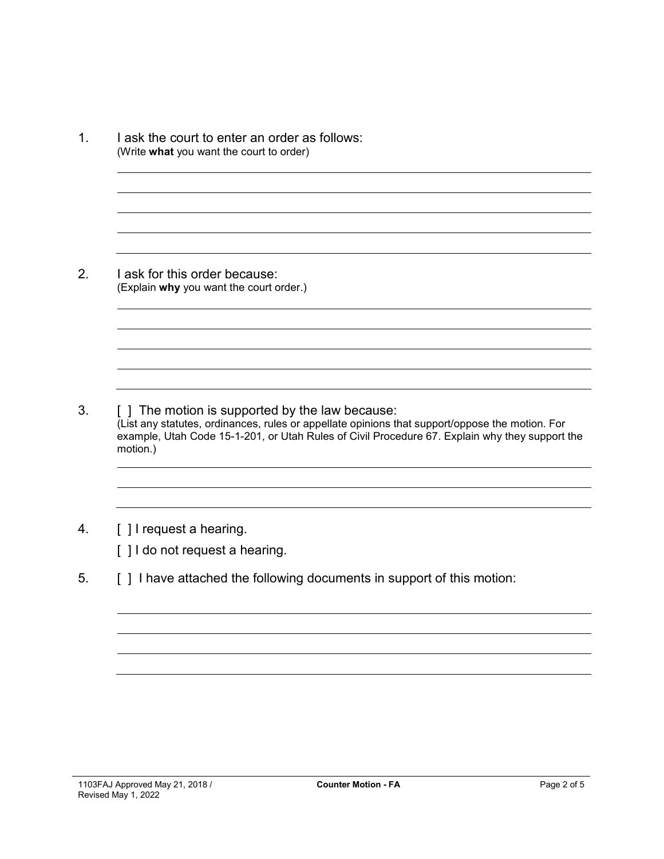1. I ask the court to enter an order as follows: (Write **what** you want the court to order) 2. I ask for this order because: (Explain **why** you want the court order.) 3. [ ] The motion is supported by the law because: (List any statutes, ordinances, rules or appellate opinions that support/oppose the motion. For example, Utah Code 15-1-201, or Utah Rules of Civil Procedure 67. Explain why they support the motion.)

# 4. [ ] I request a hearing.

[] I do not request a hearing.

5. [ ] I have attached the following documents in support of this motion: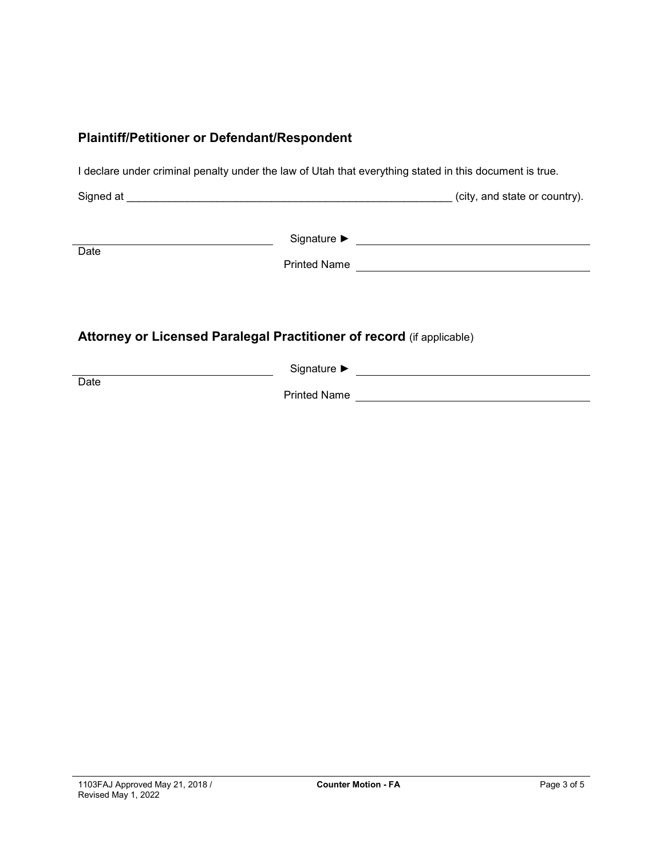#### **Plaintiff/Petitioner or Defendant/Respondent**

I declare under criminal penalty under the law of Utah that everything stated in this document is true.

Signed at \_\_\_\_\_\_\_\_\_\_\_\_\_\_\_\_\_\_\_\_\_\_\_\_\_\_\_\_\_\_\_\_\_\_\_\_\_\_\_\_\_\_\_\_\_\_\_\_\_\_\_\_\_\_ (city, and state or country).

**Date** 

Signature ► Signature ► Signature → Signature → Signature → Signature → Signature → Signature → Signature → Signature → Signature → Signature → Signature → Signature → Signature → Signature → Signature → Signature → Signa

Printed Name

# **Attorney or Licensed Paralegal Practitioner of record** (if applicable)

Signature ► Letter State State State State State State State State State State State State State State State State State State State State State State State State State State State State State State State State State Stat **Date** Printed Name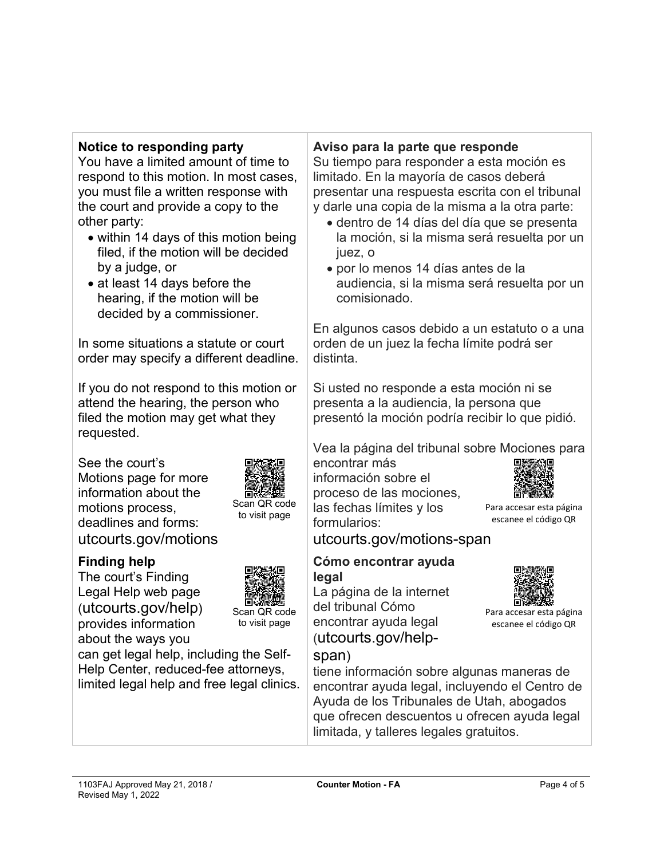## **Notice to responding party**

You have a limited amount of time to respond to this motion. In most cases, you must file a written response with the court and provide a copy to the other party:

- within 14 days of this motion being filed, if the motion will be decided by a judge, or
- at least 14 days before the hearing, if the motion will be decided by a commissioner.

In some situations a statute or court order may specify a different deadline.

If you do not respond to this motion or attend the hearing, the person who filed the motion may get what they requested.

See the court's Motions page for more information about the motions process, deadlines and forms: utcourts.gov/motions



# **Finding help**

The court's Finding Legal Help web page (utcourts.gov/help) provides information about the ways you



can get legal help, including the Self-Help Center, reduced-fee attorneys, limited legal help and free legal clinics.

## **Aviso para la parte que responde**

Su tiempo para responder a esta moción es limitado. En la mayoría de casos deberá presentar una respuesta escrita con el tribunal y darle una copia de la misma a la otra parte:

- dentro de 14 días del día que se presenta la moción, si la misma será resuelta por un juez, o
- por lo menos 14 días antes de la audiencia, si la misma será resuelta por un comisionado.

En algunos casos debido a un estatuto o a una orden de un juez la fecha límite podrá ser distinta.

Si usted no responde a esta moción ni se presenta a la audiencia, la persona que presentó la moción podría recibir lo que pidió.

Vea la página del tribunal sobre Mociones para

encontrar más información sobre el proceso de las mociones, las fechas límites y los formularios:



Para accesar esta página escanee el código QR

Para accesar esta página escanee el código QR

utcourts.gov/motions-span

#### **Cómo encontrar ayuda legal**

La página de la internet del tribunal Cómo encontrar ayuda legal (utcourts.gov/help-



tiene información sobre algunas maneras de encontrar ayuda legal, incluyendo el Centro de Ayuda de los Tribunales de Utah, abogados que ofrecen descuentos u ofrecen ayuda legal limitada, y talleres legales gratuitos.